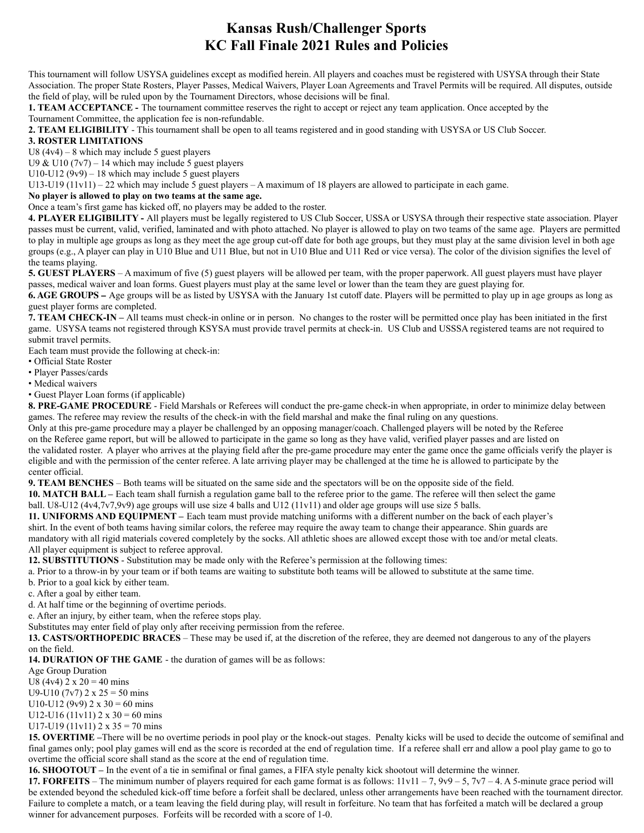## **Kansas Rush/Challenger Sports KC Fall Finale 2021 Rules and Policies**

This tournament will follow USYSA guidelines except as modified herein. All players and coaches must be registered with USYSA through their State Association. The proper State Rosters, Player Passes, Medical Waivers, Player Loan Agreements and Travel Permits will be required. All disputes, outside the field of play, will be ruled upon by the Tournament Directors, whose decisions will be final.

**1. TEAM ACCEPTANCE -** The tournament committee reserves the right to accept or reject any team application. Once accepted by the Tournament Committee, the application fee is non-refundable.

**2. TEAM ELIGIBILITY** - This tournament shall be open to all teams registered and in good standing with USYSA or US Club Soccer.

## **3. ROSTER LIMITATIONS**

U8  $(4v4) - 8$  which may include 5 guest players

U9 & U10 ( $7v7$ ) – 14 which may include 5 guest players

U10-U12 ( $9v9$ ) – 18 which may include 5 guest players

U13-U19 (11v11) – 22 which may include 5 guest players – A maximum of 18 players are allowed to participate in each game.

## **No player is allowed to play on two teams at the same age.**

Once a team's first game has kicked off, no players may be added to the roster.

**4. PLAYER ELIGIBILITY -** All players must be legally registered to US Club Soccer, USSA or USYSA through their respective state association. Player passes must be current, valid, verified, laminated and with photo attached. No player is allowed to play on two teams of the same age. Players are permitted to play in multiple age groups as long as they meet the age group cut-off date for both age groups, but they must play at the same division level in both age groups (e.g., A player can play in U10 Blue and U11 Blue, but not in U10 Blue and U11 Red or vice versa). The color of the division signifies the level of the teams playing.

**5. GUEST PLAYERS** – A maximum of five (5) guest players will be allowed per team, with the proper paperwork. All guest players must have player passes, medical waiver and loan forms. Guest players must play at the same level or lower than the team they are guest playing for.

**6. AGE GROUPS –** Age groups will be as listed by USYSA with the January 1st cutoff date. Players will be permitted to play up in age groups as long as guest player forms are completed.

**7. TEAM CHECK-IN –** All teams must check-in online or in person. No changes to the roster will be permitted once play has been initiated in the first game. USYSA teams not registered through KSYSA must provide travel permits at check-in. US Club and USSSA registered teams are not required to submit travel permits.

Each team must provide the following at check-in:

• Official State Roster

• Player Passes/cards

• Medical waivers

• Guest Player Loan forms (if applicable)

**8. PRE-GAME PROCEDURE** - Field Marshals or Referees will conduct the pre-game check-in when appropriate, in order to minimize delay between games. The referee may review the results of the check-in with the field marshal and make the final ruling on any questions.

Only at this pre-game procedure may a player be challenged by an opposing manager/coach. Challenged players will be noted by the Referee on the Referee game report, but will be allowed to participate in the game so long as they have valid, verified player passes and are listed on the validated roster. A player who arrives at the playing field after the pre-game procedure may enter the game once the game officials verify the player is eligible and with the permission of the center referee. A late arriving player may be challenged at the time he is allowed to participate by the center official.

**9. TEAM BENCHES** – Both teams will be situated on the same side and the spectators will be on the opposite side of the field.

**10. MATCH BALL –** Each team shall furnish a regulation game ball to the referee prior to the game. The referee will then select the game ball. U8-U12 (4v4,7v7,9v9) age groups will use size 4 balls and U12 (11v11) and older age groups will use size 5 balls.

**11. UNIFORMS AND EQUIPMENT –** Each team must provide matching uniforms with a different number on the back of each player's shirt. In the event of both teams having similar colors, the referee may require the away team to change their appearance. Shin guards are mandatory with all rigid materials covered completely by the socks. All athletic shoes are allowed except those with toe and/or metal cleats. All player equipment is subject to referee approval.

**12. SUBSTITUTIONS** - Substitution may be made only with the Referee's permission at the following times:

a. Prior to a throw-in by your team or if both teams are waiting to substitute both teams will be allowed to substitute at the same time.

b. Prior to a goal kick by either team.

c. After a goal by either team.

d. At half time or the beginning of overtime periods.

e. After an injury, by either team, when the referee stops play.

Substitutes may enter field of play only after receiving permission from the referee.

**13. CASTS/ORTHOPEDIC BRACES** – These may be used if, at the discretion of the referee, they are deemed not dangerous to any of the players on the field.

**14. DURATION OF THE GAME** - the duration of games will be as follows:

Age Group Duration

U8 (4v4)  $2 \times 20 = 40$  mins

U9-U10 (7v7)  $2 \times 25 = 50$  mins

U10-U12 (9v9)  $2 \times 30 = 60$  mins

U12-U16 (11v11)  $2 \times 30 = 60$  mins

U17-U19 (11v11)  $2 \times 35 = 70$  mins

**15. OVERTIME –**There will be no overtime periods in pool play or the knock-out stages. Penalty kicks will be used to decide the outcome of semifinal and final games only; pool play games will end as the score is recorded at the end of regulation time. If a referee shall err and allow a pool play game to go to overtime the official score shall stand as the score at the end of regulation time.

**16. SHOOTOUT –** In the event of a tie in semifinal or final games, a FIFA style penalty kick shootout will determine the winner.

**17. FORFEITS** – The minimum number of players required for each game format is as follows:  $11v11 - 7$ ,  $9v9 - 5$ ,  $7v7 - 4$ . A 5-minute grace period will be extended beyond the scheduled kick-off time before a forfeit shall be declared, unless other arrangements have been reached with the tournament director. Failure to complete a match, or a team leaving the field during play, will result in forfeiture. No team that has forfeited a match will be declared a group winner for advancement purposes. Forfeits will be recorded with a score of 1-0.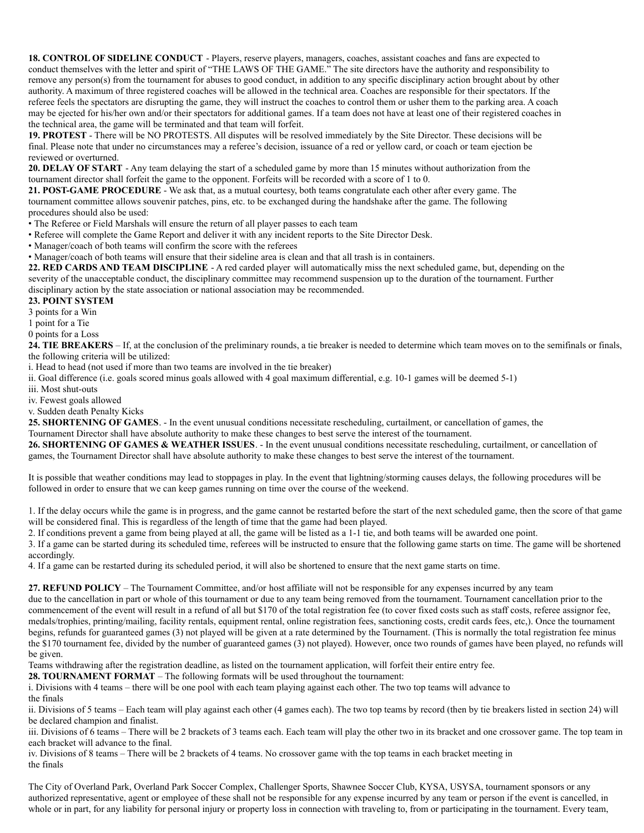**18. CONTROL OF SIDELINE CONDUCT** - Players, reserve players, managers, coaches, assistant coaches and fans are expected to conduct themselves with the letter and spirit of "THE LAWS OF THE GAME." The site directors have the authority and responsibility to remove any person(s) from the tournament for abuses to good conduct, in addition to any specific disciplinary action brought about by other authority. A maximum of three registered coaches will be allowed in the technical area. Coaches are responsible for their spectators. If the referee feels the spectators are disrupting the game, they will instruct the coaches to control them or usher them to the parking area. A coach may be ejected for his/her own and/or their spectators for additional games. If a team does not have at least one of their registered coaches in the technical area, the game will be terminated and that team will forfeit.

**19. PROTEST** - There will be NO PROTESTS. All disputes will be resolved immediately by the Site Director. These decisions will be final. Please note that under no circumstances may a referee's decision, issuance of a red or yellow card, or coach or team ejection be reviewed or overturned.

**20. DELAY OF START** - Any team delaying the start of a scheduled game by more than 15 minutes without authorization from the tournament director shall forfeit the game to the opponent. Forfeits will be recorded with a score of 1 to 0.

**21. POST-GAME PROCEDURE** - We ask that, as a mutual courtesy, both teams congratulate each other after every game. The tournament committee allows souvenir patches, pins, etc. to be exchanged during the handshake after the game. The following procedures should also be used:

• The Referee or Field Marshals will ensure the return of all player passes to each team

• Referee will complete the Game Report and deliver it with any incident reports to the Site Director Desk.

• Manager/coach of both teams will confirm the score with the referees

• Manager/coach of both teams will ensure that their sideline area is clean and that all trash is in containers.

**22. RED CARDS AND TEAM DISCIPLINE** - A red carded player will automatically miss the next scheduled game, but, depending on the severity of the unacceptable conduct, the disciplinary committee may recommend suspension up to the duration of the tournament. Further disciplinary action by the state association or national association may be recommended.

## **23. POINT SYSTEM**

3 points for a Win

1 point for a Tie

0 points for a Loss

**24. TIE BREAKERS** – If, at the conclusion of the preliminary rounds, a tie breaker is needed to determine which team moves on to the semifinals or finals, the following criteria will be utilized:

i. Head to head (not used if more than two teams are involved in the tie breaker)

ii. Goal difference (i.e. goals scored minus goals allowed with 4 goal maximum differential, e.g. 10-1 games will be deemed 5-1)

iii. Most shut-outs

iv. Fewest goals allowed

v. Sudden death Penalty Kicks

**25. SHORTENING OF GAMES**. - In the event unusual conditions necessitate rescheduling, curtailment, or cancellation of games, the Tournament Director shall have absolute authority to make these changes to best serve the interest of the tournament.

**26. SHORTENING OF GAMES & WEATHER ISSUES**. - In the event unusual conditions necessitate rescheduling, curtailment, or cancellation of games, the Tournament Director shall have absolute authority to make these changes to best serve the interest of the tournament.

It is possible that weather conditions may lead to stoppages in play. In the event that lightning/storming causes delays, the following procedures will be followed in order to ensure that we can keep games running on time over the course of the weekend.

1. If the delay occurs while the game is in progress, and the game cannot be restarted before the start of the next scheduled game, then the score of that game will be considered final. This is regardless of the length of time that the game had been played.

2. If conditions prevent a game from being played at all, the game will be listed as a 1-1 tie, and both teams will be awarded one point.

3. If a game can be started during its scheduled time, referees will be instructed to ensure that the following game starts on time. The game will be shortened accordingly.

4. If a game can be restarted during its scheduled period, it will also be shortened to ensure that the next game starts on time.

**27. REFUND POLICY** – The Tournament Committee, and/or host affiliate will not be responsible for any expenses incurred by any team due to the cancellation in part or whole of this tournament or due to any team being removed from the tournament. Tournament cancellation prior to the commencement of the event will result in a refund of all but \$170 of the total registration fee (to cover fixed costs such as staff costs, referee assignor fee, medals/trophies, printing/mailing, facility rentals, equipment rental, online registration fees, sanctioning costs, credit cards fees, etc,). Once the tournament begins, refunds for guaranteed games (3) not played will be given at a rate determined by the Tournament. (This is normally the total registration fee minus the \$170 tournament fee, divided by the number of guaranteed games (3) not played). However, once two rounds of games have been played, no refunds will

Teams withdrawing after the registration deadline, as listed on the tournament application, will forfeit their entire entry fee.

**28. TOURNAMENT FORMAT** – The following formats will be used throughout the tournament:

i. Divisions with 4 teams – there will be one pool with each team playing against each other. The two top teams will advance to

the finals

be given.

ii. Divisions of 5 teams – Each team will play against each other (4 games each). The two top teams by record (then by tie breakers listed in section 24) will be declared champion and finalist.

iii. Divisions of 6 teams – There will be 2 brackets of 3 teams each. Each team will play the other two in its bracket and one crossover game. The top team in each bracket will advance to the final.

iv. Divisions of 8 teams – There will be 2 brackets of 4 teams. No crossover game with the top teams in each bracket meeting in the finals

The City of Overland Park, Overland Park Soccer Complex, Challenger Sports, Shawnee Soccer Club, KYSA, USYSA, tournament sponsors or any authorized representative, agent or employee of these shall not be responsible for any expense incurred by any team or person if the event is cancelled, in whole or in part, for any liability for personal injury or property loss in connection with traveling to, from or participating in the tournament. Every team,